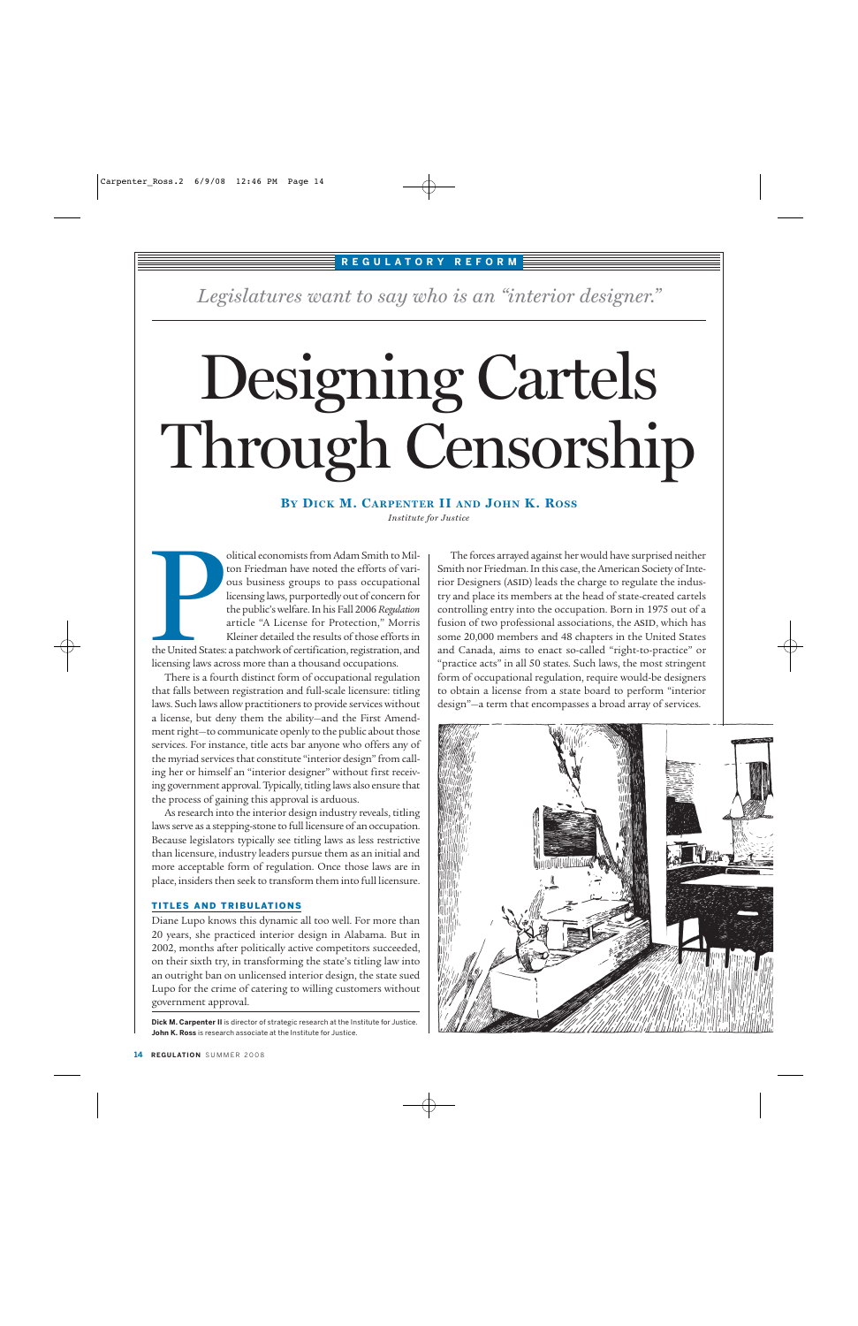#### **REGULATORY REFORM**

*Legislatures want to say who is an "interior designer."*

# Designing Cartels Through Censorship

### **BY DICK M. CARPENTER II AND JOHN K. ROSS**

*Institute for Justice*

olitical economists from Adam Smith to Milton Friedman have noted the efforts of various business groups to pass occupational licensing laws, purportedly out of concern for the public's welfare. In his Fall 2006 *Regulation* article "A License for Protection," Morris Kleiner detailed the results of those efforts in the United States: a patchwork of certification, registration, and licensing laws across more than a thousand occupations. The United States:<br>
Licensing laws acre<br>
There is a four

There is a fourth distinct form of occupational regulation that falls between registration and full-scale licensure: titling laws. Such laws allow practitioners to provide services without a license, but deny them the ability—and the First Amendment right—to communicate openly to the public about those services. For instance, title acts bar anyone who offers any of the myriad services that constitute "interior design" from calling her or himself an "interior designer" without first receiving government approval. Typically, titling laws also ensure that the process of gaining this approval is arduous.

As research into the interior design industry reveals, titling laws serve as a stepping-stone to full licensure of an occupation. Because legislators typically see titling laws as less restrictive than licensure, industry leaders pursue them as an initial and more acceptable form of regulation. Once those laws are in place, insiders then seek to transform them into full licensure.

#### TITLES AND TRIBULATIONS

Diane Lupo knows this dynamic all too well. For more than 20 years, she practiced interior design in Alabama. But in 2002, months after politically active competitors succeeded, on their sixth try, in transforming the state's titling law into an outright ban on unlicensed interior design, the state sued Lupo for the crime of catering to willing customers without government approval.

**Dick M. Carpenter II** is director of strategic research at the Institute for Justice. **John K. Ross** is research associate at the Institute for Justice.

The forces arrayed against her would have surprised neither Smith nor Friedman. In this case, the American Society of Interior Designers (ASID) leads the charge to regulate the industry and place its members at the head of state-created cartels controlling entry into the occupation. Born in 1975 out of a fusion of two professional associations, the ASID, which has some 20,000 members and 48 chapters in the United States and Canada, aims to enact so-called "right-to-practice" or "practice acts" in all 50 states. Such laws, the most stringent form of occupational regulation, require would-be designers to obtain a license from a state board to perform "interior design"—a term that encompasses a broad array of services.

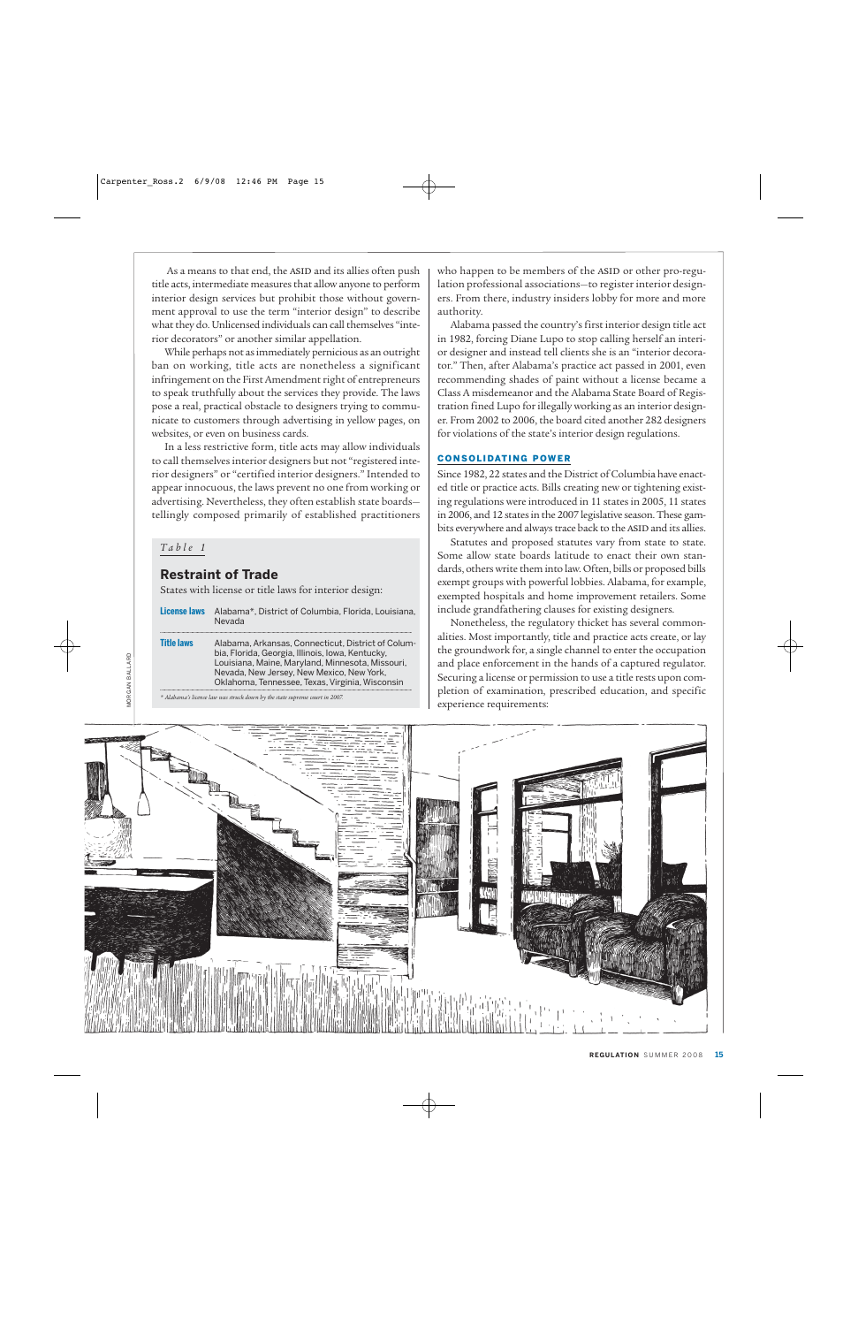As a means to that end, the ASID and its allies often push title acts, intermediate measures that allow anyone to perform interior design services but prohibit those without government approval to use the term "interior design" to describe what they do. Unlicensed individuals can call themselves "interior decorators" or another similar appellation.

While perhaps not as immediately pernicious as an outright ban on working, title acts are nonetheless a significant infringement on the First Amendment right of entrepreneurs to speak truthfully about the services they provide. The laws pose a real, practical obstacle to designers trying to communicate to customers through advertising in yellow pages, on websites, or even on business cards.

In a less restrictive form, title acts may allow individuals to call themselves interior designers but not "registered interior designers" or "certified interior designers." Intended to appear innocuous, the laws prevent no one from working or advertising. Nevertheless, they often establish state boards tellingly composed primarily of established practitioners

#### *Table 1*

10RGAN BALLARD MORGAN BALLARD

#### **Restraint of Trade**

States with license or title laws for interior design:

| License laws      | Alabama*, District of Columbia, Florida, Louisiana,<br><b>Nevada</b>                                                                                                                                                                                       |
|-------------------|------------------------------------------------------------------------------------------------------------------------------------------------------------------------------------------------------------------------------------------------------------|
| <b>Title laws</b> | Alabama, Arkansas, Connecticut, District of Colum-<br>bia, Florida, Georgia, Illinois, Iowa, Kentucky,<br>Louisiana, Maine, Maryland, Minnesota, Missouri,<br>Nevada, New Jersey, New Mexico, New York,<br>Oklahoma, Tennessee, Texas, Virginia, Wisconsin |
|                   |                                                                                                                                                                                                                                                            |

*\* Alabama's license law was struck down by the state supreme court in 2007.*

who happen to be members of the ASID or other pro-regulation professional associations—to register interior designers. From there, industry insiders lobby for more and more authority.

Alabama passed the country's first interior design title act in 1982, forcing Diane Lupo to stop calling herself an interior designer and instead tell clients she is an "interior decorator." Then, after Alabama's practice act passed in 2001, even recommending shades of paint without a license became a Class A misdemeanor and the Alabama State Board of Registration fined Lupo for illegally working as an interior designer. From 2002 to 2006, the board cited another 282 designers for violations of the state's interior design regulations.

#### CONSOLIDATING POWER

Since 1982, 22 states and the District of Columbia have enacted title or practice acts. Bills creating new or tightening existing regulations were introduced in 11 states in 2005, 11 states in 2006, and 12 states in the 2007 legislative season. These gambits everywhere and always trace back to the ASID and its allies.

Statutes and proposed statutes vary from state to state. Some allow state boards latitude to enact their own standards, others write them into law. Often, bills or proposed bills exempt groups with powerful lobbies. Alabama, for example, exempted hospitals and home improvement retailers. Some include grandfathering clauses for existing designers.

Nonetheless, the regulatory thicket has several commonalities. Most importantly, title and practice acts create, or lay the groundwork for, a single channel to enter the occupation and place enforcement in the hands of a captured regulator. Securing a license or permission to use a title rests upon completion of examination, prescribed education, and specific experience requirements:

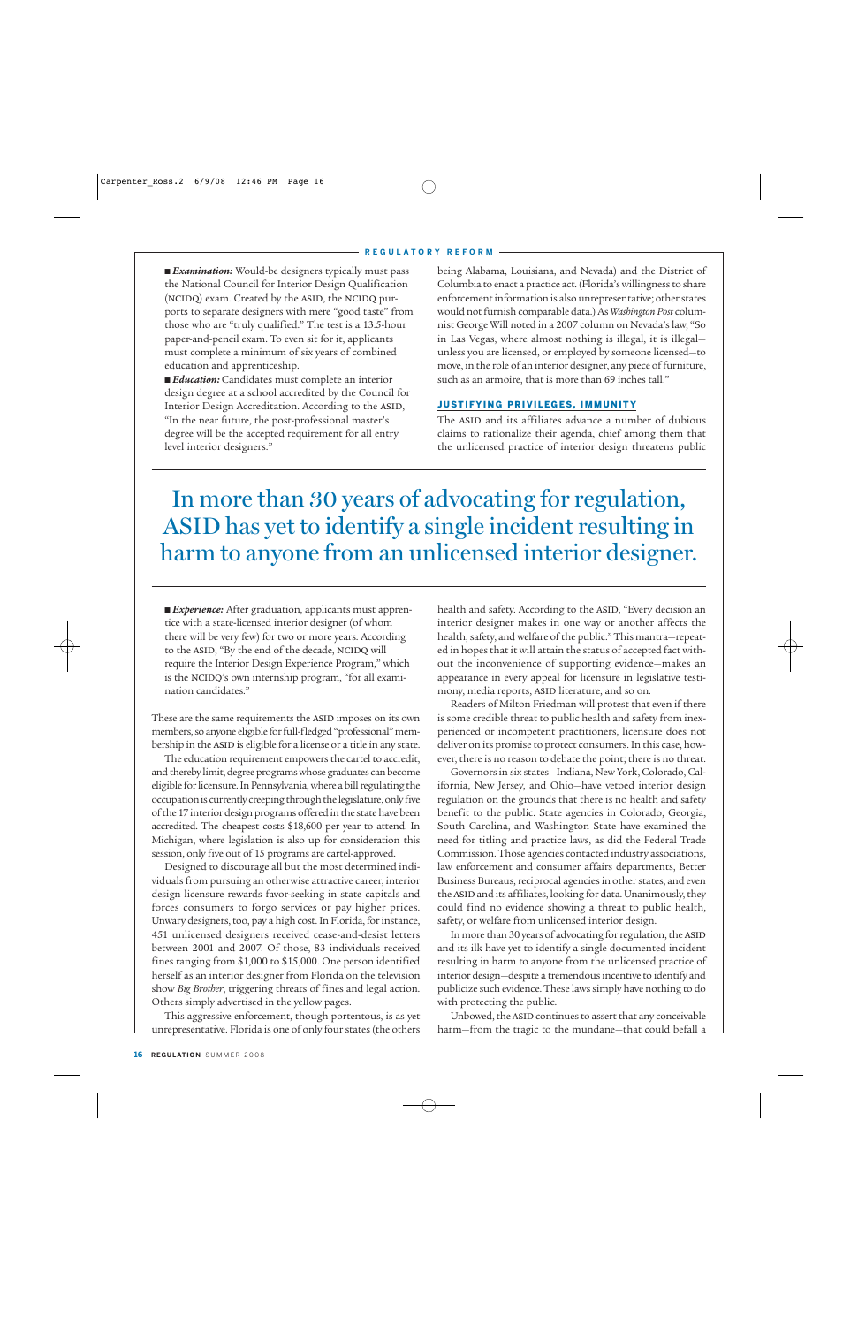■ *Examination*: Would-be designers typically must pass the National Council for Interior Design Qualification (NCIDQ) exam. Created by the ASID, the NCIDQ purports to separate designers with mere "good taste" from those who are "truly qualified." The test is a 13.5-hour paper-and-pencil exam. To even sit for it, applicants must complete a minimum of six years of combined education and apprenticeship.

■ *Education*: Candidates must complete an interior design degree at a school accredited by the Council for Interior Design Accreditation. According to the ASID, "In the near future, the post-professional master's degree will be the accepted requirement for all entry level interior designers."

being Alabama, Louisiana, and Nevada) and the District of Columbia to enact a practice act. (Florida's willingness to share enforcement information is also unrepresentative; other states would not furnish comparable data.) As *Washington Post* columnist George Will noted in a 2007 column on Nevada's law, "So in Las Vegas, where almost nothing is illegal, it is illegal unless you are licensed, or employed by someone licensed—to move, in the role of an interior designer, any piece of furniture, such as an armoire, that is more than 69 inches tall."

#### JUSTIFYING PRIVILEGES, IMMUNITY

The ASID and its affiliates advance a number of dubious claims to rationalize their agenda, chief among them that the unlicensed practice of interior design threatens public

## In more than 30 years of advocating for regulation, ASID has yet to identify a single incident resulting in harm to anyone from an unlicensed interior designer.

■ *Experience*: After graduation, applicants must apprentice with a state-licensed interior designer (of whom there will be very few) for two or more years. According to the ASID, "By the end of the decade, NCIDQ will require the Interior Design Experience Program," which is the NCIDQ's own internship program, "for all examination candidates."

These are the same requirements the ASID imposes on its own members, so anyone eligible for full-fledged "professional" membership in the ASID is eligible for a license or a title in any state.

The education requirement empowers the cartel to accredit, and thereby limit, degree programs whose graduates can become eligible for licensure. In Pennsylvania, where a bill regulating the occupation is currently creeping through the legislature, only five of the 17 interior design programs offered in the state have been accredited. The cheapest costs \$18,600 per year to attend. In Michigan, where legislation is also up for consideration this session, only five out of 15 programs are cartel-approved.

Designed to discourage all but the most determined individuals from pursuing an otherwise attractive career, interior design licensure rewards favor-seeking in state capitals and forces consumers to forgo services or pay higher prices. Unwary designers, too, pay a high cost. In Florida, for instance, 451 unlicensed designers received cease-and-desist letters between 2001 and 2007. Of those, 83 individuals received fines ranging from \$1,000 to \$15,000. One person identified herself as an interior designer from Florida on the television show *Big Brother*, triggering threats of fines and legal action. Others simply advertised in the yellow pages.

This aggressive enforcement, though portentous, is as yet unrepresentative. Florida is one of only four states (the others health and safety. According to the ASID, "Every decision an interior designer makes in one way or another affects the health, safety, and welfare of the public." This mantra—repeated in hopes that it will attain the status of accepted fact without the inconvenience of supporting evidence—makes an appearance in every appeal for licensure in legislative testimony, media reports, ASID literature, and so on.

Readers of Milton Friedman will protest that even if there is some credible threat to public health and safety from inexperienced or incompetent practitioners, licensure does not deliver on its promise to protect consumers. In this case, however, there is no reason to debate the point; there is no threat.

Governors in six states—Indiana, New York, Colorado, California, New Jersey, and Ohio—have vetoed interior design regulation on the grounds that there is no health and safety benefit to the public. State agencies in Colorado, Georgia, South Carolina, and Washington State have examined the need for titling and practice laws, as did the Federal Trade Commission. Those agencies contacted industry associations, law enforcement and consumer affairs departments, Better Business Bureaus, reciprocal agencies in other states, and even the ASID and its affiliates, looking for data. Unanimously, they could find no evidence showing a threat to public health, safety, or welfare from unlicensed interior design.

In more than 30 years of advocating for regulation, the ASID and its ilk have yet to identify a single documented incident resulting in harm to anyone from the unlicensed practice of interior design—despite a tremendous incentive to identify and publicize such evidence. These laws simply have nothing to do with protecting the public.

Unbowed, the ASID continues to assert that any conceivable harm—from the tragic to the mundane—that could befall a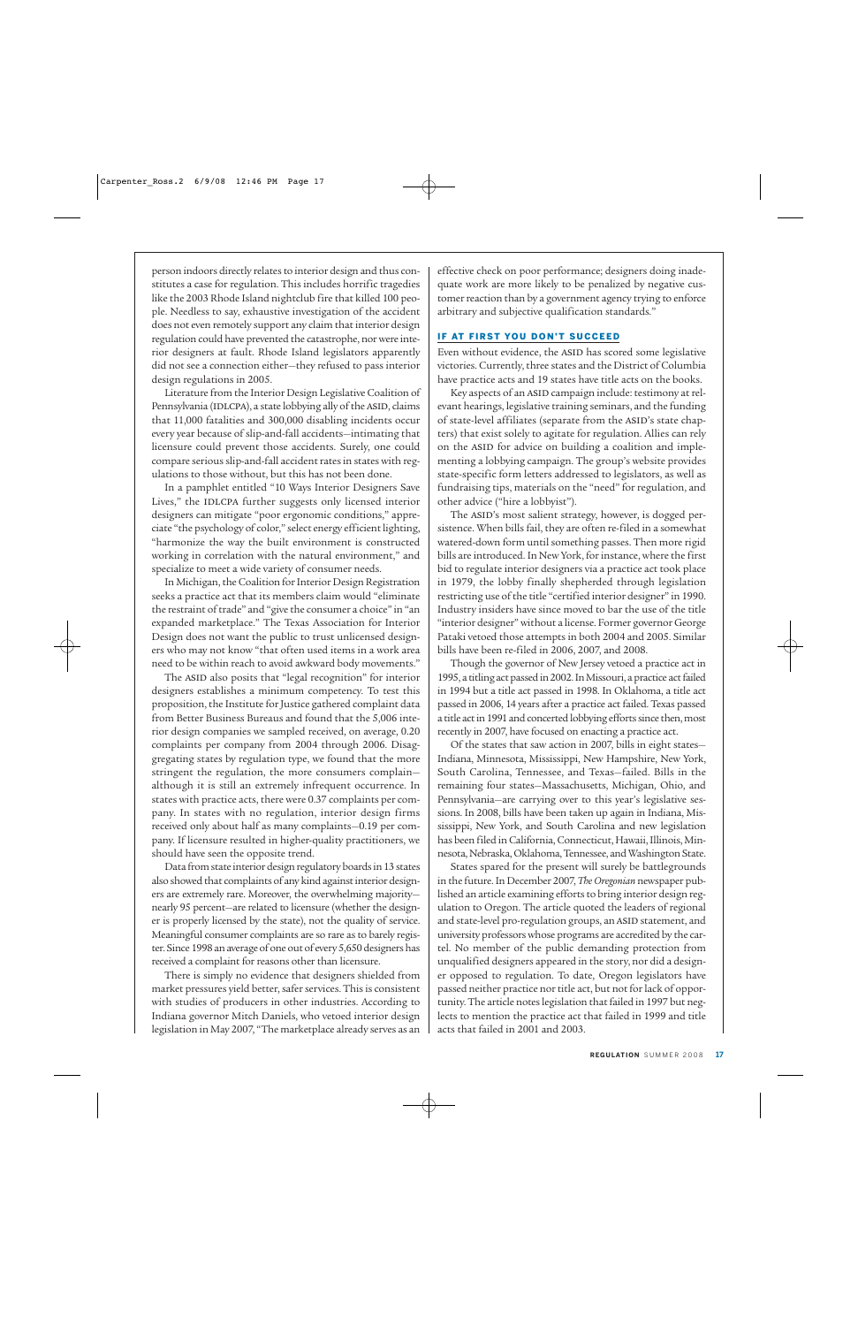person indoors directly relates to interior design and thus constitutes a case for regulation. This includes horrific tragedies like the 2003 Rhode Island nightclub fire that killed 100 people. Needless to say, exhaustive investigation of the accident does not even remotely support any claim that interior design regulation could have prevented the catastrophe, nor were interior designers at fault. Rhode Island legislators apparently did not see a connection either—they refused to pass interior design regulations in 2005.

Literature from the Interior Design Legislative Coalition of Pennsylvania (IDLCPA), a state lobbying ally of the ASID, claims that 11,000 fatalities and 300,000 disabling incidents occur every year because of slip-and-fall accidents—intimating that licensure could prevent those accidents. Surely, one could compare serious slip-and-fall accident rates in states with regulations to those without, but this has not been done.

In a pamphlet entitled "10 Ways Interior Designers Save Lives," the IDLCPA further suggests only licensed interior designers can mitigate "poor ergonomic conditions," appreciate "the psychology of color," select energy efficient lighting, "harmonize the way the built environment is constructed working in correlation with the natural environment," and specialize to meet a wide variety of consumer needs.

In Michigan, the Coalition for Interior Design Registration seeks a practice act that its members claim would "eliminate the restraint of trade" and "give the consumer a choice" in "an expanded marketplace." The Texas Association for Interior Design does not want the public to trust unlicensed designers who may not know "that often used items in a work area need to be within reach to avoid awkward body movements."

The ASID also posits that "legal recognition" for interior designers establishes a minimum competency. To test this proposition, the Institute for Justice gathered complaint data from Better Business Bureaus and found that the 5,006 interior design companies we sampled received, on average, 0.20 complaints per company from 2004 through 2006. Disaggregating states by regulation type, we found that the more stringent the regulation, the more consumers complain although it is still an extremely infrequent occurrence. In states with practice acts, there were 0.37 complaints per company. In states with no regulation, interior design firms received only about half as many complaints—0.19 per company. If licensure resulted in higher-quality practitioners, we should have seen the opposite trend.

Data from state interior design regulatory boards in 13 states also showed that complaints of any kind against interior designers are extremely rare. Moreover, the overwhelming majority nearly 95 percent—are related to licensure (whether the designer is properly licensed by the state), not the quality of service. Meaningful consumer complaints are so rare as to barely register. Since 1998 an average of one out of every 5,650 designers has received a complaint for reasons other than licensure.

There is simply no evidence that designers shielded from market pressures yield better, safer services. This is consistent with studies of producers in other industries. According to Indiana governor Mitch Daniels, who vetoed interior design legislation in May 2007, "The marketplace already serves as an

effective check on poor performance; designers doing inadequate work are more likely to be penalized by negative customer reaction than by a government agency trying to enforce arbitrary and subjective qualification standards."

#### IF AT FIRST YOU DON'T SUCCEED

Even without evidence, the ASID has scored some legislative victories. Currently, three states and the District of Columbia have practice acts and 19 states have title acts on the books.

Key aspects of an ASID campaign include: testimony at relevant hearings, legislative training seminars, and the funding of state-level affiliates (separate from the ASID's state chapters) that exist solely to agitate for regulation. Allies can rely on the ASID for advice on building a coalition and implementing a lobbying campaign. The group's website provides state-specific form letters addressed to legislators, as well as fundraising tips, materials on the "need" for regulation, and other advice ("hire a lobbyist").

The ASID's most salient strategy, however, is dogged persistence. When bills fail, they are often re-filed in a somewhat watered-down form until something passes. Then more rigid bills are introduced. In New York, for instance, where the first bid to regulate interior designers via a practice act took place in 1979, the lobby finally shepherded through legislation restricting use of the title "certified interior designer" in 1990. Industry insiders have since moved to bar the use of the title "interior designer" without a license. Former governor George Pataki vetoed those attempts in both 2004 and 2005. Similar bills have been re-filed in 2006, 2007, and 2008.

Though the governor of New Jersey vetoed a practice act in 1995, a titling act passed in 2002. In Missouri, a practice act failed in 1994 but a title act passed in 1998. In Oklahoma, a title act passed in 2006, 14 years after a practice act failed. Texas passed a title act in 1991 and concerted lobbying efforts since then, most recently in 2007, have focused on enacting a practice act.

Of the states that saw action in 2007, bills in eight states— Indiana, Minnesota, Mississippi, New Hampshire, New York, South Carolina, Tennessee, and Texas—failed. Bills in the remaining four states—Massachusetts, Michigan, Ohio, and Pennsylvania—are carrying over to this year's legislative sessions. In 2008, bills have been taken up again in Indiana, Mississippi, New York, and South Carolina and new legislation has been filed in California, Connecticut, Hawaii, Illinois, Minnesota, Nebraska, Oklahoma, Tennessee, and Washington State.

States spared for the present will surely be battlegrounds in the future. In December 2007, *The Oregonian* newspaper published an article examining efforts to bring interior design regulation to Oregon. The article quoted the leaders of regional and state-level pro-regulation groups, an ASID statement, and university professors whose programs are accredited by the cartel. No member of the public demanding protection from unqualified designers appeared in the story, nor did a designer opposed to regulation. To date, Oregon legislators have passed neither practice nor title act, but not for lack of opportunity. The article notes legislation that failed in 1997 but neglects to mention the practice act that failed in 1999 and title acts that failed in 2001 and 2003.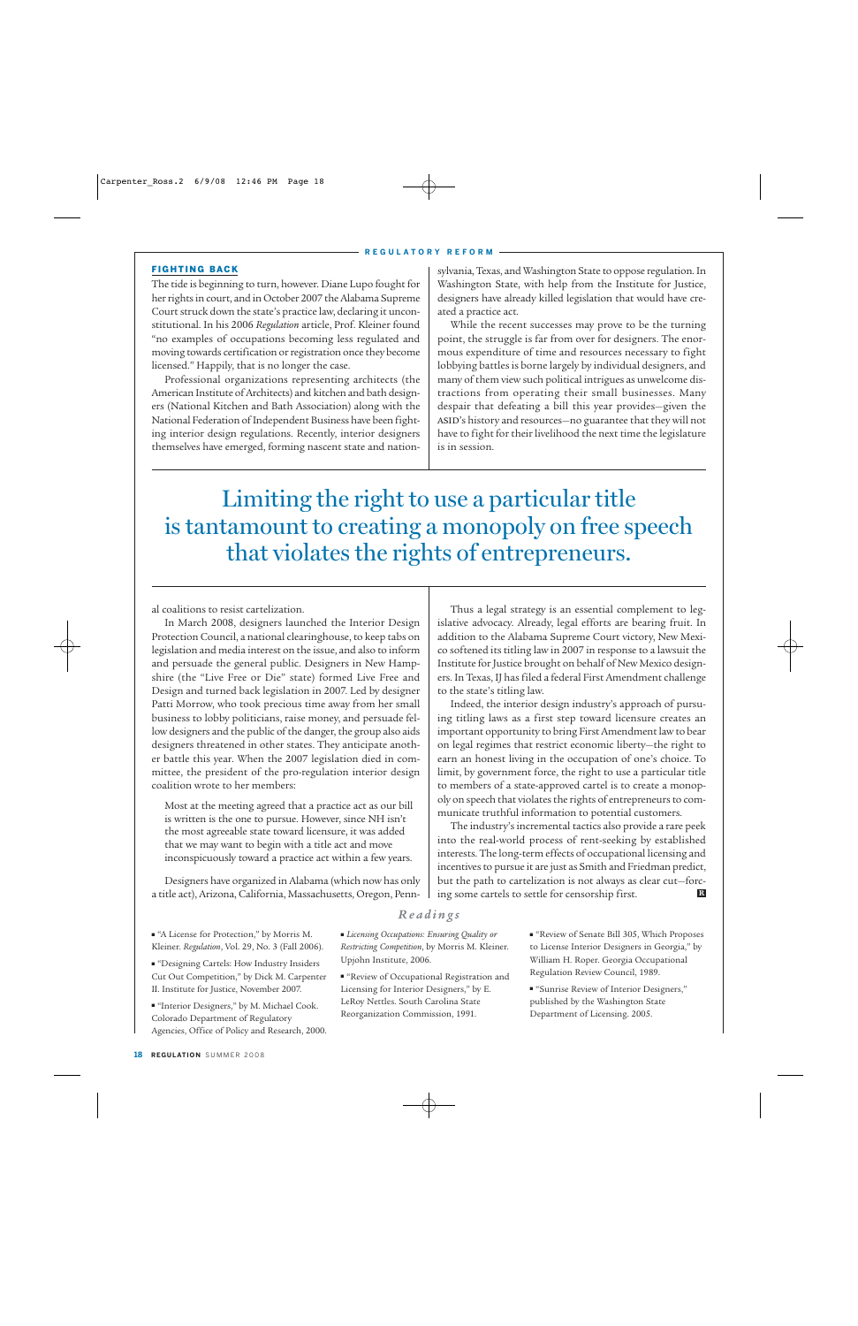#### FIGHTING BACK

The tide is beginning to turn, however. Diane Lupo fought for her rights in court, and in October 2007 the Alabama Supreme Court struck down the state's practice law, declaring it unconstitutional. In his 2006 *Regulation* article, Prof. Kleiner found "no examples of occupations becoming less regulated and moving towards certification or registration once they become licensed." Happily, that is no longer the case.

Professional organizations representing architects (the American Institute of Architects) and kitchen and bath designers (National Kitchen and Bath Association) along with the National Federation of Independent Business have been fighting interior design regulations. Recently, interior designers themselves have emerged, forming nascent state and nationsylvania, Texas, and Washington State to oppose regulation. In Washington State, with help from the Institute for Justice, designers have already killed legislation that would have created a practice act.

While the recent successes may prove to be the turning point, the struggle is far from over for designers. The enormous expenditure of time and resources necessary to fight lobbying battles is borne largely by individual designers, and many of them view such political intrigues as unwelcome distractions from operating their small businesses. Many despair that defeating a bill this year provides—given the ASID's history and resources-no guarantee that they will not have to fight for their livelihood the next time the legislature is in session.

Limiting the right to use a particular title is tantamount to creating a monopoly on free speech that violates the rights of entrepreneurs.

al coalitions to resist cartelization.

In March 2008, designers launched the Interior Design Protection Council, a national clearinghouse, to keep tabs on legislation and media interest on the issue, and also to inform and persuade the general public. Designers in New Hampshire (the "Live Free or Die" state) formed Live Free and Design and turned back legislation in 2007. Led by designer Patti Morrow, who took precious time away from her small business to lobby politicians, raise money, and persuade fellow designers and the public of the danger, the group also aids designers threatened in other states. They anticipate another battle this year. When the 2007 legislation died in committee, the president of the pro-regulation interior design coalition wrote to her members:

Most at the meeting agreed that a practice act as our bill is written is the one to pursue. However, since NH isn't the most agreeable state toward licensure, it was added that we may want to begin with a title act and move inconspicuously toward a practice act within a few years.

Designers have organized in Alabama (which now has only a title act), Arizona, California, Massachusetts, Oregon, Penn-

Thus a legal strategy is an essential complement to legislative advocacy. Already, legal efforts are bearing fruit. In addition to the Alabama Supreme Court victory, New Mexico softened its titling law in 2007 in response to a lawsuit the Institute for Justice brought on behalf of New Mexico designers. In Texas, IJ has filed a federal First Amendment challenge to the state's titling law.

Indeed, the interior design industry's approach of pursuing titling laws as a first step toward licensure creates an important opportunity to bring First Amendment law to bear on legal regimes that restrict economic liberty—the right to earn an honest living in the occupation of one's choice. To limit, by government force, the right to use a particular title to members of a state-approved cartel is to create a monopoly on speech that violates the rights of entrepreneurs to communicate truthful information to potential customers.

The industry's incremental tactics also provide a rare peek into the real-world process of rent-seeking by established interests. The long-term effects of occupational licensing and incentives to pursue it are just as Smith and Friedman predict, but the path to cartelization is not always as clear cut—forcing some cartels to settle for censorship first. **R**

#### *Readings*

- "A License for Protection," by Morris M. Kleiner. *Regulation*, Vol. 29, No. 3 (Fall 2006).
- "Designing Cartels: How Industry Insiders Cut Out Competition," by Dick M. Carpenter II. Institute for Justice, November 2007.
- "Interior Designers," by M. Michael Cook. Colorado Department of Regulatory Agencies, Office of Policy and Research, 2000.
- *Licensing Occupations: Ensuring Quality or Restricting Competition*, by Morris M. Kleiner. Upjohn Institute, 2006.
- "Review of Occupational Registration and Licensing for Interior Designers," by E. LeRoy Nettles. South Carolina State Reorganization Commission, 1991.

■ "Review of Senate Bill 305, Which Proposes to License Interior Designers in Georgia," by William H. Roper. Georgia Occupational Regulation Review Council, 1989.

■ "Sunrise Review of Interior Designers," published by the Washington State Department of Licensing. 2005.